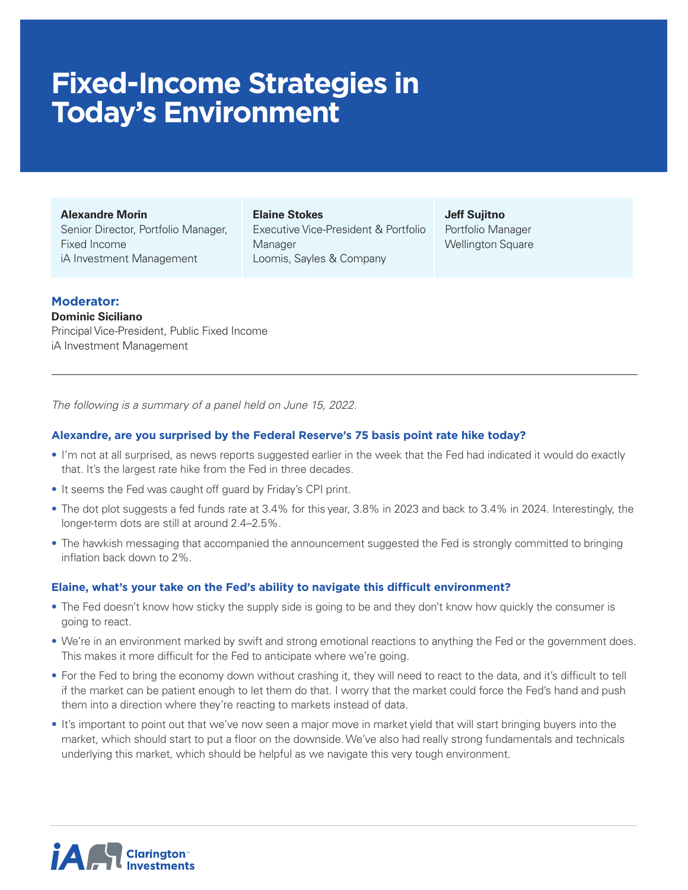# **Fixed-Income Strategies in Today's Environment**

**Alexandre Morin**

Senior Director, Portfolio Manager, Fixed Income iA Investment Management

#### **Elaine Stokes**

Executive Vice-President & Portfolio Manager Loomis, Sayles & Company

**Jeff Sujitno** Portfolio Manager Wellington Square

## **Moderator:**

**Dominic Siciliano** Principal Vice-President, Public Fixed Income iA Investment Management

*The following is a summary of a panel held on June 15, 2022.* 

## **Alexandre, are you surprised by the Federal Reserve's 75 basis point rate hike today?**

- I'm not at all surprised, as news reports suggested earlier in the week that the Fed had indicated it would do exactly that. It's the largest rate hike from the Fed in three decades.
- It seems the Fed was caught off guard by Friday's CPI print.
- The dot plot suggests a fed funds rate at 3.4% for this year, 3.8% in 2023 and back to 3.4% in 2024. Interestingly, the longer-term dots are still at around 2.4–2.5%.
- The hawkish messaging that accompanied the announcement suggested the Fed is strongly committed to bringing inflation back down to 2%.

## **Elaine, what's your take on the Fed's ability to navigate this difficult environment?**

- The Fed doesn't know how sticky the supply side is going to be and they don't know how quickly the consumer is going to react.
- We're in an environment marked by swift and strong emotional reactions to anything the Fed or the government does. This makes it more difficult for the Fed to anticipate where we're going.
- For the Fed to bring the economy down without crashing it, they will need to react to the data, and it's difficult to tell if the market can be patient enough to let them do that. I worry that the market could force the Fed's hand and push them into a direction where they're reacting to markets instead of data.
- It's important to point out that we've now seen a major move in market yield that will start bringing buyers into the market, which should start to put a floor on the downside. We've also had really strong fundamentals and technicals underlying this market, which should be helpful as we navigate this very tough environment.

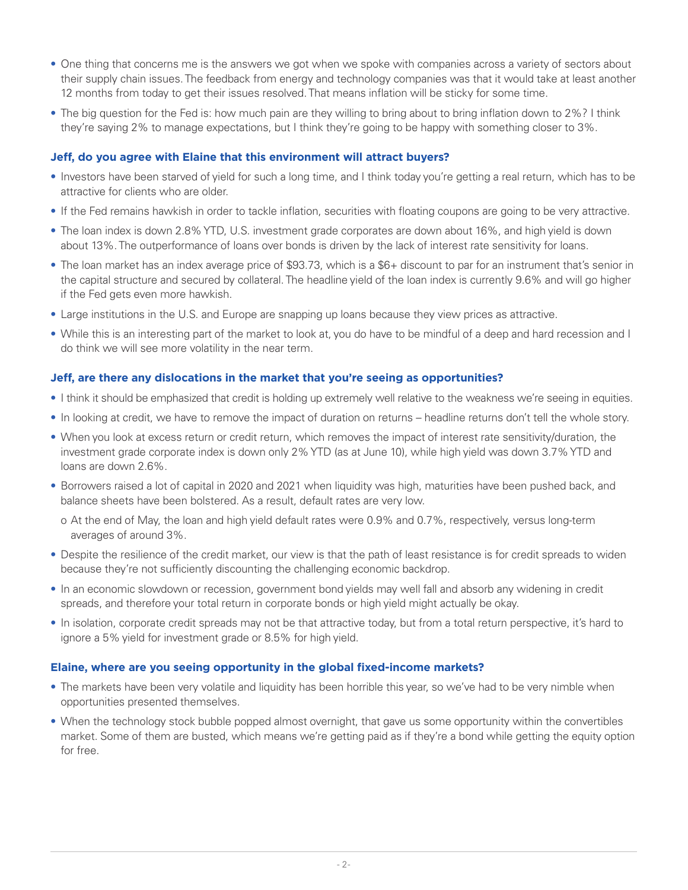- One thing that concerns me is the answers we got when we spoke with companies across a variety of sectors about their supply chain issues. The feedback from energy and technology companies was that it would take at least another 12 months from today to get their issues resolved. That means inflation will be sticky for some time.
- The big question for the Fed is: how much pain are they willing to bring about to bring inflation down to 2%? I think they're saying 2% to manage expectations, but I think they're going to be happy with something closer to 3%.

## **Jeff, do you agree with Elaine that this environment will attract buyers?**

- Investors have been starved of yield for such a long time, and I think today you're getting a real return, which has to be attractive for clients who are older.
- If the Fed remains hawkish in order to tackle inflation, securities with floating coupons are going to be very attractive.
- The loan index is down 2.8% YTD, U.S. investment grade corporates are down about 16%, and high yield is down about 13%. The outperformance of loans over bonds is driven by the lack of interest rate sensitivity for loans.
- The loan market has an index average price of \$93.73, which is a \$6+ discount to par for an instrument that's senior in the capital structure and secured by collateral. The headline yield of the loan index is currently 9.6% and will go higher if the Fed gets even more hawkish.
- Large institutions in the U.S. and Europe are snapping up loans because they view prices as attractive.
- While this is an interesting part of the market to look at, you do have to be mindful of a deep and hard recession and I do think we will see more volatility in the near term.

### **Jeff, are there any dislocations in the market that you're seeing as opportunities?**

- I think it should be emphasized that credit is holding up extremely well relative to the weakness we're seeing in equities.
- In looking at credit, we have to remove the impact of duration on returns headline returns don't tell the whole story.
- When you look at excess return or credit return, which removes the impact of interest rate sensitivity/duration, the investment grade corporate index is down only 2% YTD (as at June 10), while high yield was down 3.7% YTD and loans are down 2.6%.
- Borrowers raised a lot of capital in 2020 and 2021 when liquidity was high, maturities have been pushed back, and balance sheets have been bolstered. As a result, default rates are very low.
	- o At the end of May, the loan and high yield default rates were 0.9% and 0.7%, respectively, versus long-term averages of around 3%.
- Despite the resilience of the credit market, our view is that the path of least resistance is for credit spreads to widen because they're not sufficiently discounting the challenging economic backdrop.
- In an economic slowdown or recession, government bond yields may well fall and absorb any widening in credit spreads, and therefore your total return in corporate bonds or high yield might actually be okay.
- In isolation, corporate credit spreads may not be that attractive today, but from a total return perspective, it's hard to ignore a 5% yield for investment grade or 8.5% for high yield.

### **Elaine, where are you seeing opportunity in the global fixed-income markets?**

- The markets have been very volatile and liquidity has been horrible this year, so we've had to be very nimble when opportunities presented themselves.
- When the technology stock bubble popped almost overnight, that gave us some opportunity within the convertibles market. Some of them are busted, which means we're getting paid as if they're a bond while getting the equity option for free.